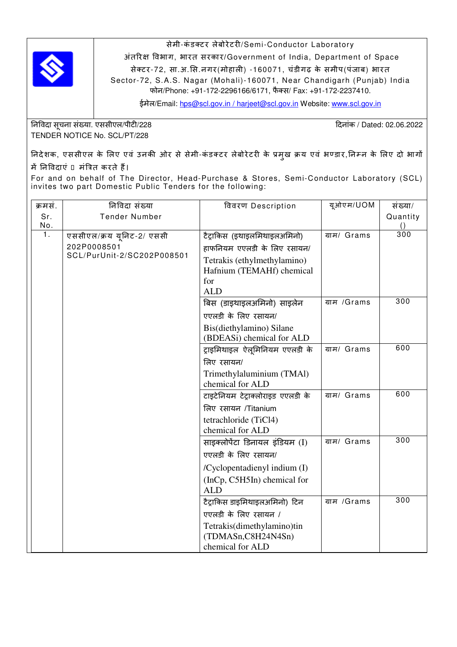

सेमी-कंडक्टर लेबोरेटरी/Semi-Conductor Laboratory अंत र वभाग, भारत सरकार**/**Government of India, Department of Space सेटर-72, सा.अ.स.नगर(मोहाल) -160071, चंडीगढ़ के समीप(पंजाब) भारत Sector-72, S.A.S. Nagar (Mohali)-160071, Near Chandigarh (Punjab) India फोन/Phone: +91-172-2296166/6171, फैक्स/ Fax: +91-172-2237410.

ईमेल/Email: hps@scl.gov.in / harjeet@scl.gov.in Website: www.scl.gov.in

#नवदा सूचना सं& या. एससीएल/पीट/228 )दनांक / Dated: 02.06.2022 TENDER NOTICE No. SCL/PT/228

निदेशक, एससीएल के लिए एवं उनकी ओर से सेमी-कंडक्टर लेबोरेटरी के प्रमुख क्रय एवं भण्डार,निम्न के लिए दो भागों

## में निविदाएं  $\Box$  मंत्रित करते हैं।

For and on behalf of The Director, Head-Purchase & Stores, Semi-Conductor Laboratory (SCL) invites two part Domestic Public Tenders for the following:

| क्रमसं.    | निविदा संख्या                                                          | विवरण Description                                                                                                                            | यूओएम/UOM    | संख्या/                      |
|------------|------------------------------------------------------------------------|----------------------------------------------------------------------------------------------------------------------------------------------|--------------|------------------------------|
| Sr.<br>No. | <b>Tender Number</b>                                                   |                                                                                                                                              |              | Quantity<br>$\left( \right)$ |
| 1.         | एससीएल/क्रय यूनिट-2/ एससी<br>202P0008501<br>SCL/PurUnit-2/SC202P008501 | टैट्राकिस (इथाइलमिथाइलअमिनो)<br>हाफनियम एएलडी के लिए रसायन/<br>Tetrakis (ethylmethylamino)<br>Hafnium (TEMAHf) chemical<br>for<br><b>ALD</b> | ग्राम/ Grams | 300                          |
|            |                                                                        | बिस (डाइथाइलअमिनो) साइलेन<br>एएलडी के लिए रसायन/<br>Bis(diethylamino) Silane<br>(BDEASi) chemical for ALD                                    | ग्राम /Grams | 300                          |
|            |                                                                        | ट्राइमिथाइल ऐलूमिनियम एएलडी के<br>लिए रसायन/<br>Trimethylaluminium (TMAl)<br>chemical for ALD                                                | ग्राम/ Grams | 600                          |
|            |                                                                        | टाइटेनियम टेट्राक्लोराइड एएलडी के<br>लिए रसायन /Titanium<br>tetrachloride (TiCl4)<br>chemical for ALD                                        | ग्राम/ Grams | 600                          |
|            |                                                                        | साइक्लोपेंटा डिनायल इंडियम $(I)$<br>एएलड़ी के लिए रसायन/<br>/Cyclopentadienyl indium (I)<br>$(InCp, C5H5In)$ chemical for<br><b>ALD</b>      | ग्राम/ Grams | 300                          |
|            |                                                                        | टैट्राकिस डाइमिथाइलअमिनो) टिन<br>एएलडी के लिए रसायन /<br>Tetrakis(dimethylamino)tin<br>(TDMASn,C8H24N4Sn)<br>chemical for ALD                | ग्राम /Grams | 300                          |